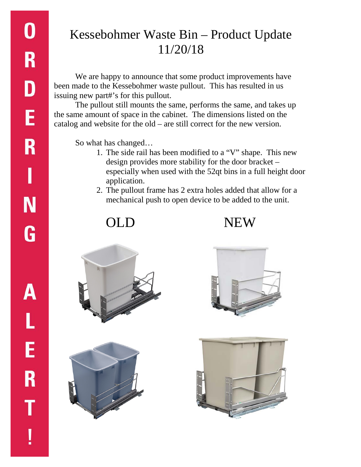## Kessebohmer Waste Bin – Product Update 11/20/18

We are happy to announce that some product improvements have been made to the Kessebohmer waste pullout. This has resulted in us issuing new part#'s for this pullout.

The pullout still mounts the same, performs the same, and takes up the same amount of space in the cabinet. The dimensions listed on the catalog and website for the old – are still correct for the new version.

So what has changed…

- 1. The side rail has been modified to a "V" shape. This new design provides more stability for the door bracket – especially when used with the 52qt bins in a full height door application.
- 2. The pullout frame has 2 extra holes added that allow for a mechanical push to open device to be added to the unit.

OLD NEW